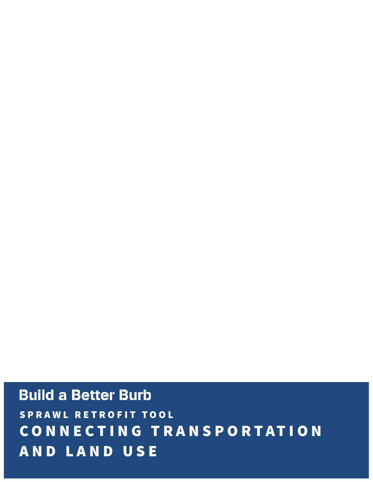# **Build a Better Burb** SPRAWL RETROFIT TOOL CONNECTING TRANSPORTATION AND LAND USE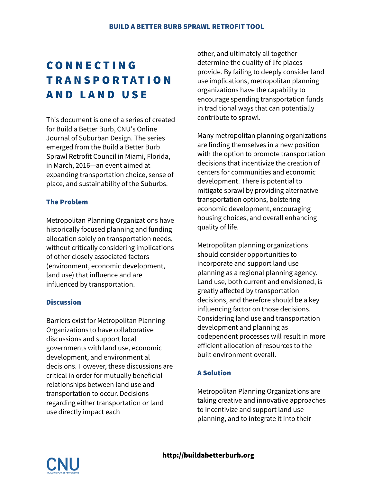# CONNECTING TRANSPORTATION AND LAND USE

This document is one of a series of created for Build a Better Burb, CNU's Online Journal of Suburban Design. The series emerged from the Build a Better Burb Sprawl Retrofit Council in Miami, Florida, in March, 2016—an event aimed at expanding transportation choice, sense of place, and sustainability of the Suburbs.

#### The Problem

Metropolitan Planning Organizations have historically focused planning and funding allocation solely on transportation needs, without critically considering implications of other closely associated factors (environment, economic development, land use) that influence and are influenced by transportation.

#### **Discussion**

Barriers exist for Metropolitan Planning Organizations to have collaborative discussions and support local governments with land use, economic development, and environment al decisions. However, these discussions are critical in order for mutually beneficial relationships between land use and transportation to occur. Decisions regarding either transportation or land use directly impact each

other, and ultimately all together determine the quality of life places provide. By failing to deeply consider land use implications, metropolitan planning organizations have the capability to encourage spending transportation funds in traditional ways that can potentially contribute to sprawl.

Many metropolitan planning organizations are finding themselves in a new position with the option to promote transportation decisions that incentivize the creation of centers for communities and economic development. There is potential to mitigate sprawl by providing alternative transportation options, bolstering economic development, encouraging housing choices, and overall enhancing quality of life.

Metropolitan planning organizations should consider opportunities to incorporate and support land use planning as a regional planning agency. Land use, both current and envisioned, is greatly affected by transportation decisions, and therefore should be a key influencing factor on those decisions. Considering land use and transportation development and planning as codependent processes will result in more efficient allocation of resources to the built environment overall.

#### A Solution

Metropolitan Planning Organizations are taking creative and innovative approaches to incentivize and support land use planning, and to integrate it into their

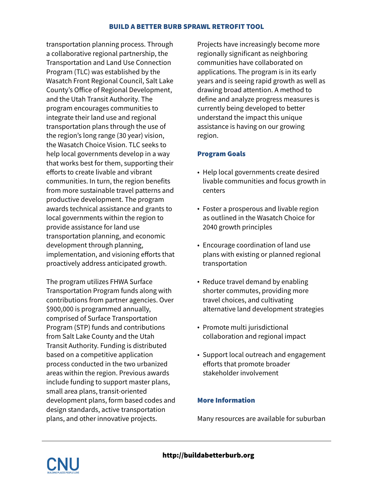#### BUILD A BETTER BURB SPRAWL RETROFIT TOOL

transportation planning process. Through a collaborative regional partnership, the Transportation and Land Use Connection Program (TLC) was established by the Wasatch Front Regional Council, Salt Lake County's Office of Regional Development, and the Utah Transit Authority. The program encourages communities to integrate their land use and regional transportation plans through the use of the region's long range (30 year) vision, the Wasatch Choice Vision. TLC seeks to help local governments develop in a way that works best for them, supporting their efforts to create livable and vibrant communities. In turn, the region benefits from more sustainable travel patterns and productive development. The program awards technical assistance and grants to local governments within the region to provide assistance for land use transportation planning, and economic development through planning, implementation, and visioning efforts that proactively address anticipated growth.

The program utilizes FHWA Surface Transportation Program funds along with contributions from partner agencies. Over \$900,000 is programmed annually, comprised of Surface Transportation Program (STP) funds and contributions from Salt Lake County and the Utah Transit Authority. Funding is distributed based on a competitive application process conducted in the two urbanized areas within the region. Previous awards include funding to support master plans, small area plans, transit-oriented development plans, form based codes and design standards, active transportation plans, and other innovative projects.

Projects have increasingly become more regionally significant as neighboring communities have collaborated on applications. The program is in its early years and is seeing rapid growth as well as drawing broad attention. A method to define and analyze progress measures is currently being developed to better understand the impact this unique assistance is having on our growing region.

### Program Goals

- Help local governments create desired livable communities and focus growth in centers
- Foster a prosperous and livable region as outlined in the Wasatch Choice for 2040 growth principles
- Encourage coordination of land use plans with existing or planned regional transportation
- Reduce travel demand by enabling shorter commutes, providing more travel choices, and cultivating alternative land development strategies
- Promote multi jurisdictional collaboration and regional impact
- Support local outreach and engagement efforts that promote broader stakeholder involvement

## More Information

Many resources are available for suburban